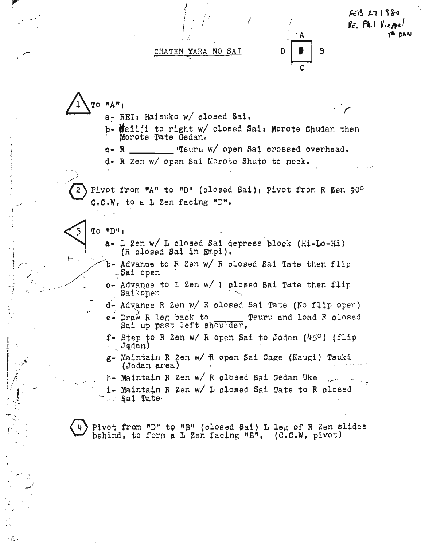

 $FEB 171880$ Re Phil Kiemel **TH DAN** 

**TO "A"1** a- REI: Haisuko w/ closed Sai. b- Mailli to right w/ closed Sai: Morote Chudan then Morote Tate Gedan. "Tsuru w/ open Sai crossed overhead.  $c - R$ d- R Zen w/ open Sai Morote Shuto to neck. Pivot from "A" to "D" (closed Sai); Pivot from R Zen 90°  $C, C, W$ , to a  $L$  Zen facing "D",  $TO HDP1$ a- L Zen w/ L closed Sai depress block (Hi-Lo-Hi) (R olosed Sai in Empi). b- Advance to R Zen w/ R closed Sai Tate then flip -Sai open c- Advance to L Zen w/ L closed Sai Tate then flip Saisopen d- Advance R Zen w/ R closed Sai Tate (No flip open) e- Draw R leg back to Tsuru and load R olosed Sai up past left shoulder, f- Step to R Zen w/ R open Sai to Jodan  $(45^{\circ})$  (flip Jodan) g- Maintain R Zen w/ R open Sai Cage (Kaugi) Tsuki (Jodan area) h- Maintain R Zen w/ R closed Sai Gedan Uke i- Maintain R Zen w/ L olosed Sai Tate to R olosed Sai Tate Pivot from "D" to "B" (closed Sai) L leg of R Zen slides

behind, to form a L Zen facing "B".  $(C.C.W. pivot)$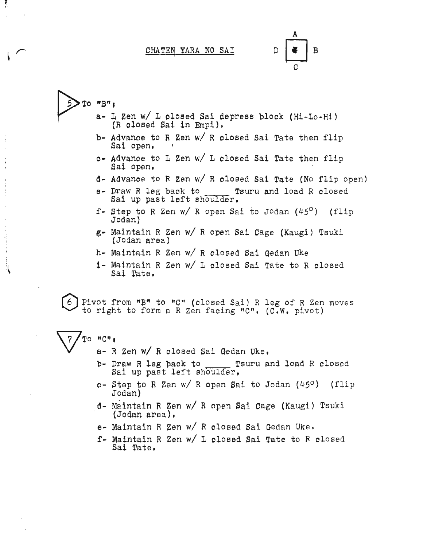B D

 $T$ o  $"B"$ : L Zen *wi* L olosed Sai depress blook (Hi-Lo-Hi) (R olosed Sai in Empi). b- Advance to R Zen  $w/$  R olosed Sai Tate then flip Sai open. 0- Advanoe to <sup>L</sup> Zen *wi* <sup>L</sup> olosed Sai Tate then flip Sai open. d- Advanoe to R Zen *wi* R olosed Sai Tate (No flip open) e- Draw R leg back to \_\_\_\_\_ Tsuru and load R closed Sai up past left shoulder.

- f- Step to <sup>R</sup> Zen *wi* <sup>R</sup> open Sai to JOdan (450 ) (flip Jodan)
- g- Maintain R Zen *wi* R open Sai Cage (Kaugi) Tsuki (Jodan area)
- h- Maintain R Zen *wi* R olosed Sai Gedan Uke
- i- Maintain R Zen *wi* L olosed Sai Tate to R olosed Sai Tate.

Pivot from "B" to "C" (closed Sai) R leg of R Zen moves to right to form a R Zen facing "C". (C.W. pivot)

Ţ

- *To "C":*  $a R$  Zen w/ R olosed Sai Gedan Uke.
	- b- Draw R leg back to Tsuru and load R closed Sai up past left shoulder.
	- 0- Step to R Zen *wi* R open Sai to Jodan (450 ) (flip JOdan)
	- d- Maintain R Zen *wi* R open Sai cage (Kaugi) Tsuki  $($ Jodan area $)$ .
	- e- Maintain R Zen *wi* R olosed Sai Gedan Uke.
	- f- Maintain R Zen *wi* L olosed Sai Tate to R olosed Sai Tate.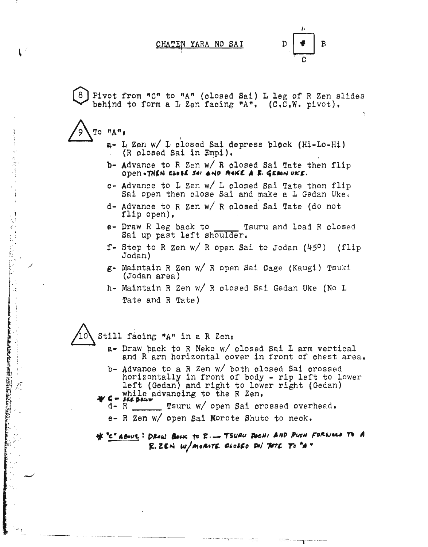I

 $D \nvert \nvert \nvert \nvert \nvert$  B

Pivot from "C" to "A" (closed Sai) L leg of R Zen slides behind to form a L Zen facing "A",  $(C, C, W, \text{ pivot})$ .

 $\text{To } \text{''A}$ 

 $\sum_{i=1}^n$ 

 $\mathbf{C}^{\mathcal{L}}$ 

,/

. j- , '1

WELL WARDEN STREET WARPEN TO WARD TO THE TABLE

 $\hat{\mathcal{E}}$ 

 $\sim$  .

- a- L Zen w/ L olosed Sai depress block (Hi-Lo-Hi)  $(R$  olosed Sai in  $Empi$ .
- b- Advance to R Zen w/ R closed Sai Tate then flip open-THEN CLOSE *SAI* AND MAKE A F. GENON UKE.
- c- Advance to  $L$  Zen w/  $L$  olosed Sai Tate then flip Sai open then close Sai and make a  $L$  Gedan Uke.
- d- Advance to R Zen *wI* R olosed Sai Tate (do not flip open),
- e- Draw R leg back to Tsuru and load R closed Sal up past left shoulder.
- f- Step to R Zen w/ R open Sai to Jodan  $(45^{\circ})$  (flip Jodan)
- g- Maintain R Zen wI R open Sal Cage (Kaugl) Tsuki (Jodan area)
- h- Maintain R Zen w/ R olosed Sai Gedan Uke (No L Tate and R Tate)

8 Still facing "A" in a R Zen,

- a- Draw pack to R Neko *wI* olosed Sal L arm vertical and R arm horizontal oover in front of chest area.
- b- Advance to a R Zen  $w/$  both closed Sai crossed horizontally in front of body - rip left to lower left (Gedan) and right to lower right (Gedan) .., , while advanoing to the <sup>R</sup> Zen, .... ", .. "f. ,~w
- while advancing to the R Zen.<br>
d- R Tsuru w/ open Sai crossed overhead.
	- e- R Zen *wI* open Sai Morote Shuto to neok •

--------\_.- ------------------ ·----···----7----- - -------,'----- -

\* "C" ABOUL: DRAW BACK TO R. \_ TSURU DOCHI AND PUSH FORWALD TO A  $R.$  2EM  $w/$ *merith diesse sai toth to "A*  $*$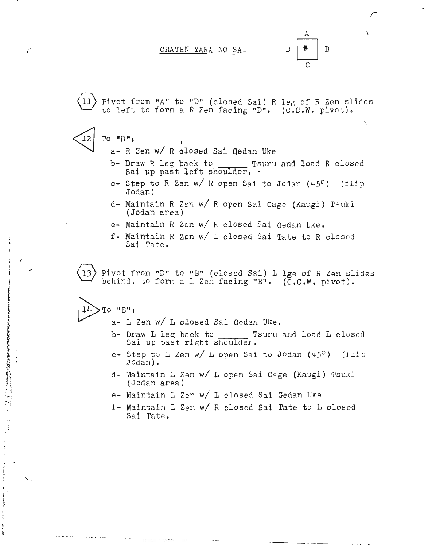$\mathcal{L}$  $\overline{B}$ D C

*r*

.,

Pivot from "A" to "D" (closed Sai) R leg of R Zen slides to left to form <sup>a</sup> R Zen facing "D". (C.C.W. pivot).

- To "D" <sup>I</sup> a- R Zen *wi* R closed Sai Oedan Uke
	- b- Draw R leg back to \_\_\_\_\_\_ Tsuru and load R closed

Sai up past left shoulder, .

- c- Step to R Zen *w/R* open Sai to Jodan (45<sup>0</sup> ) (flip Jodan)
- d- Maintain R Zen *wi* R open Sai Cage (Kaugi) Tsuki (Jodan area)
- e- Maintain R Zen *wi* R closed Sai Gedan Uke,
- f- Maintain R Zen w/ L closed Sai Tate to R closed Sai Tate.

Pivot from "D" to "B" (closed Sai) L lge of R Zen slides<br>behind, to form a L Zen facing "B". (C.C.W. pivot).

~TO *"B"* <sup>J</sup>

I !

f

I

IN NEW YORK

**CANADARY AND ARRANGEMENT COMPANY** 

, I, ,;

House of the ha

Ĵ **KAN N-H** 

- a- L Zen *wi* L closed Sai Gedan Uke.
- b- Draw L leg back to Tsuru and load L closed Sai up past right shoulder.
- c- Step to L Zen *w*/ L open Sai to Jodan (45<sup>0</sup>) (Tlip Jodan).
- d- Maintain L Zen w/ L open Sai Cage (Kaugi) Tsuki (Jodan area)
- e- Maintain L Zen *wi* L closed Sai Gedan Uke
- f- Maintain L Zen *wi* R closed Sai Tate to L closed Sai Tate.

-----.. --.\_\_.-..\_.. \_....-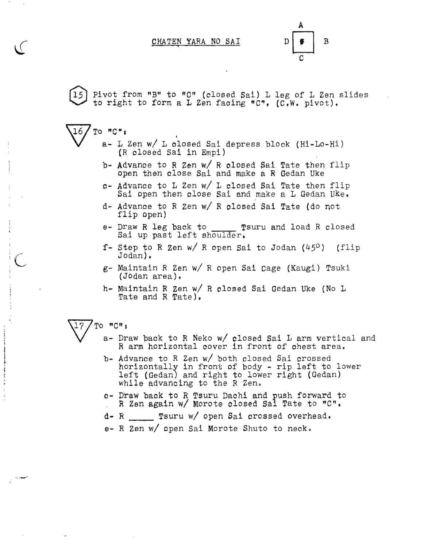A  $D \left| \begin{array}{c} \bullet \\ \bullet \end{array} \right|$  B  $\overline{c}$ 

Pivot from "B" to "C" (closed Sai) L leg of L Zen slides to right to form a L Zen faoing "C~, (C,W. pivot).

a- L Zen w/ L closed Sai depress block (Hi-Lo-Hi) : (R olosed Sai in Empi) ,

- b- Advance to R Zen w/ R olosed Sai Tate then flip open then close Sai and make a R Gedan Uke
- c- Advance to <sup>L</sup> Zen *wi* <sup>L</sup> closed Sai Tate then flip Sai open then close Sai and make <sup>a</sup> <sup>L</sup> Gedan Uke,
- d- Advance to R Zen *wi* R closed Sai Tate (do not flip open)
- e- Draw R leg back to \_\_\_\_ Tsuru and load R closed Sai up past left shoulder,
- f- step to <sup>R</sup> Zen *wi* <sup>R</sup> open Sai to Jodan *(450 )* (flip Jodan) •
- g- Maintain R Zen *wi* R open Sai Cage (Kaugi) Tsuki (Jodan area) •.
- h- Maintain R Zen *wi* R closed Sai Gedan Uke (No L Tate and R Tate),

## $17$  / To  $"C"$  ;

 $16$  To  $"C"$ 

 $\mathbf{I}$ :  $\ddot{\phantom{a}}$ 

 $\sim$ 

- a- Draw back to R Neko *w*/ closed Sai L arm vertical and R arm horizontal cover in front of chest area.
- b- Advance to R Zen w/ both closed Sai crossed horizontally in front of body - rip left to lower left (Gedan) and right to lower right (Gedan) While advancing to the R Zen.
- c- Draw baok to R Tsuru Dachi and push forward to R Zen again *wi* Morote closed Sai Tate to "C",
- d- R Tsuru *wi* open Sai crossed overhead.
- e- R Zen *wi* open Sai Morote Shuto to neck •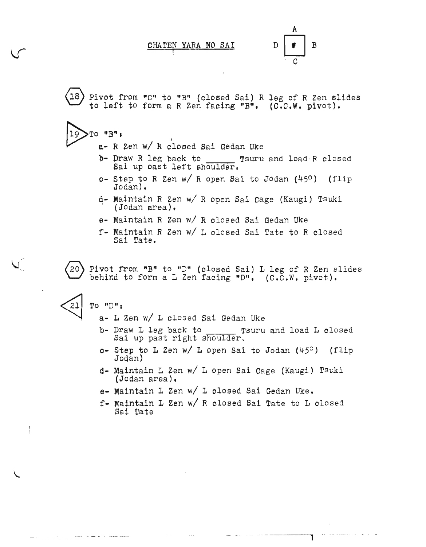B

-- ---- --- ------------, . ""--------- - ----- --

Pivot from "C" to "B" (closed Sai) R leg of R Zen slides to left to form a R Zen facing "B". (C.C.W. pivot).

- $19$  To  $"B"$ ;
	- a- R Zen *wi* R dlosed Sai Gedan Uke
	- b- Draw R leg back to Tsuru and load R closed Sai up cast left shoulder.
	- c- step to <sup>R</sup> Zen *wi* <sup>R</sup> open Sai to Jodan (450) (flip Jodan) •
	- q- Maintain R Zen *wi* R open Sal cage (Kaugi) Tsuki (Jodan area).
	- e- Maintain R Zen *wi* R closed Sai Gedan Uke
	- f- Maintain R Zen *wi* 1 closed Sai Tate to R closed Sai Tate.

 $(20)$  Pivot from "B" to "D" (closed Sai) L leg of R Zen slides behind to form a  $L$  Zen facing "D".  $(C.C.W. pivot)$ .

To "D",

21

a- L Zen *wi* L closed Sai Gedan Uke

- b- Draw L leg back to \_\_\_\_\_\_\_ Tsuru and load L closed Sai up past right shoulder.
- c- Step to L Zen *w*/ L open Sai to Jodan (45°) (flip Jodan)
- d- Maintain 1 Zen *wi* 1 open Sai Cage (Kaugi) Tsuki (Jodan area).
- e- Maintain L Zen w/ L closed Sai Gedan Uke.
- f- Maintain L Zen *wi* R closed Sai Tate to L closed Sai Tate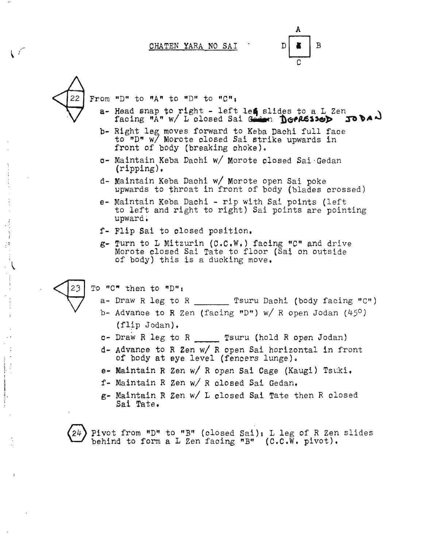A  $D$  &  $B$ C



 $\ddot{\phantom{1}}$ ا<br>1:

 $\sqrt{6}$ 

 $\begin{bmatrix} 1 \\ 1 \end{bmatrix}$ 

 $\overline{\phantom{a}}$ 

From "D" to "A" to "D" to "C":

- a- Head snap to right left les slides to a L Zen facing "A" w/ L closed Sai Goden Deplessed 50 bad
- b- Right leg moves forward to Keba Dachi full face to "D" w7 Morote olosed Sai strike upwards in front of body (breaking choke).
- 0- Maintain Keba Dachi *wi* Morote olosed Sai'Gedan (ripping) ,
- d- Maintain Keba Daohi *wi* Morote open Sai poke upwards to throat in front of body (blades crossed)
- e- Maintain Keba Dachi rip with Sai points (left to left and right to right) Sai points are pointing upward.
- f- Flip Sai to olosed position•
- g- Turn to L Mitzurin (C.C.W.) facing "C" and drive Morote closed Sai Tate to floor (Sai on outside of body) this is a ducking move •

To "0" then to "D"s

- $a-$  Draw R leg to R \_\_\_\_\_\_\_\_ Tsuru Dachi (body facing "C")
	- b- Advance to R Zen (facing "D") *wi* R open Jodan *(450 )*  $(flip$  Jodan).
	- c- Draw R leg to R Tsuru (hold R open Jodan)
	- d- Advance to R Zen *wi* R open Sai horizontal in front of body at eye level (fencers lunge).
	- e- Maintain R Zen w/ R open Sai Cage (Kaugi) Tsuki.
	- f- Maintain R Zen *wi* R closed Sai Gedan.
	- g- Maintain R Zen *wi* L olosed Sai Tate then R closed Sal Tate.

 $24$ ) Pivot from "D" to "B" (closed Sai); L leg of R Zen slides behind to form a L Zen facing "B" (C.C.W. pivot).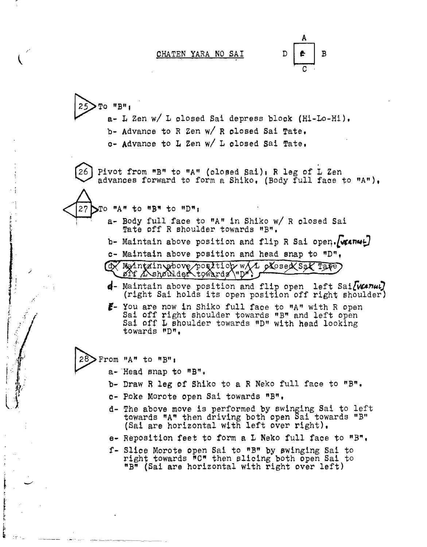D  $\overline{B}$ 

~TO "B",  $a-$  L Zen w/ L olosed Sai depress blook (Hi-Lo-Hi). b- Advance to R Zen *w*/ R closed Sai Tate.  $o-$  Advance to L Zen w/ L olosed Sai Tate.

26 Pivot from "B" to "A" (olosed Sai), R leg of L Zen advanoes forward to form a Shiko, (Body full faoe to "A"),

 $27$   $\textrm{N}$  "A" to "B" to "D";

/

:.~- . i·' ;;-. . .. ~' . .'-: .

*I t"* :/ '"  $\mathbf{f}$ 

': .

l

 $\frac{1}{2}$ 

 $\mathbf{e}^{\top}$  , , , ,

- a- Body full face to "A" in Shiko w/ R olosed Sai Tate off R shoulder towards "B".
- b- Maintain above position and flip R Sai open.  $\sqrt{\kappa n\omega}$
- c- Maintain above position and head snap to "D",

@ Maintzingbove position w/1 olosed Sal Tate

- **4-** Maintain above position and flip open left Sai*[wanu]*<br>(right Sai holds its open position off right shoulder)
- **,-** you are now in Shiko full face to "A" with <sup>R</sup> open Sai off right shoulder towards *"B"* and left open Sai off <sup>L</sup> shoulder towards "D" with head looking towards "D",

From "A" to "B":

- $a-$  Head snap to  $\overline{B}$ ".
- b- Draw R leg of Shiko to a R Neko full face to "B".
- e- poke Morote open Sai towards "B",
- d- The above move is performed by swinging Sai to left towards "An then driving both open Sai towards "B" (Sai are horizontal with left over right),
- e- Reposition feet to form a L Neko full faoe to "B~,
- f- Slice Morote open Sai to "B" by \$winging Sai to right towards  $\bar{C}$ " then slicing both open Sai to "B" (Saiare horizontal with right over left)